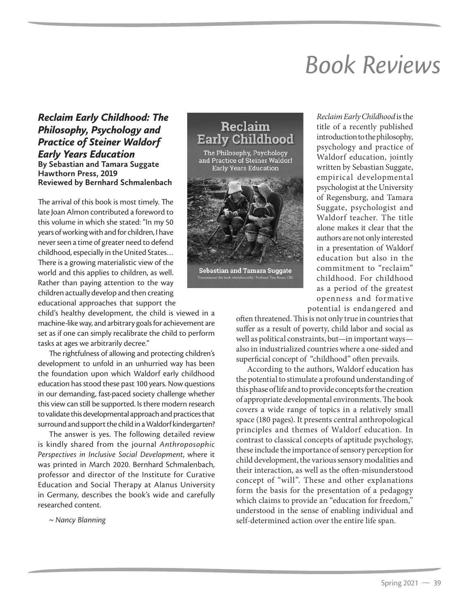## **Book Reviews** *Book Reviews*

## *Reclaim Early Childhood: The Philosophy, Psychology and Practice of Steiner Waldorf Early Years Education* **By Sebastian and Tamara Suggate Hawthorn Press, 2019 Reviewed by Bernhard Schmalenbach**

The arrival of this book is most timely. The late Joan Almon contributed a foreword to this volume in which she stated: "In my 50 years of working with and for children, I have never seen a time of greater need to defend childhood, especially in the United States… There is a growing materialistic view of the world and this applies to children, as well. Rather than paying attention to the way children actually develop and then creating educational approaches that support the

child's healthy development, the child is viewed in a machine-like way, and arbitrary goals for achievement are set as if one can simply recalibrate the child to perform tasks at ages we arbitrarily decree."

The rightfulness of allowing and protecting children's development to unfold in an unhurried way has been the foundation upon which Waldorf early childhood education has stood these past 100 years. Now questions in our demanding, fast-paced society challenge whether this view can still be supported. Is there modern research to validate this developmental approach and practices that surround and support the child in a Waldorf kindergarten?

The answer is yes. The following detailed review is kindly shared from the journal *Anthroposophic Perspectives in Inclusive Social Development*, where it was printed in March 2020. Bernhard Schmalenbach, professor and director of the Institute for Curative Education and Social Therapy at Alanus University in Germany, describes the book's wide and carefully researched content.

<sup>~</sup>*Nancy Blanning*



*Reclaim Early Childhood* is the title of a recently published introduction to the philosophy, psychology and practice of Waldorf education, jointly written by Sebastian Suggate, empirical developmental psychologist at the University of Regensburg, and Tamara Suggate, psychologist and Waldorf teacher. The title alone makes it clear that the authors are not only interested in a presentation of Waldorf education but also in the commitment to "reclaim" childhood. For childhood as a period of the greatest openness and formative potential is endangered and

often threatened. This is not only true in countries that suffer as a result of poverty, child labor and social as well as political constraints, but—in important ways also in industrialized countries where a one-sided and superficial concept of "childhood" often prevails.

According to the authors, Waldorf education has the potential to stimulate a profound understanding of this phase of life and to provide concepts for the creation of appropriate developmental environments. The book covers a wide range of topics in a relatively small space (180 pages). It presents central anthropological principles and themes of Waldorf education. In contrast to classical concepts of aptitude psychology, these include the importance of sensory perception for child development, the various sensory modalities and their interaction, as well as the often-misunderstood concept of "will". These and other explanations form the basis for the presentation of a pedagogy which claims to provide an "education for freedom," understood in the sense of enabling individual and self-determined action over the entire life span.